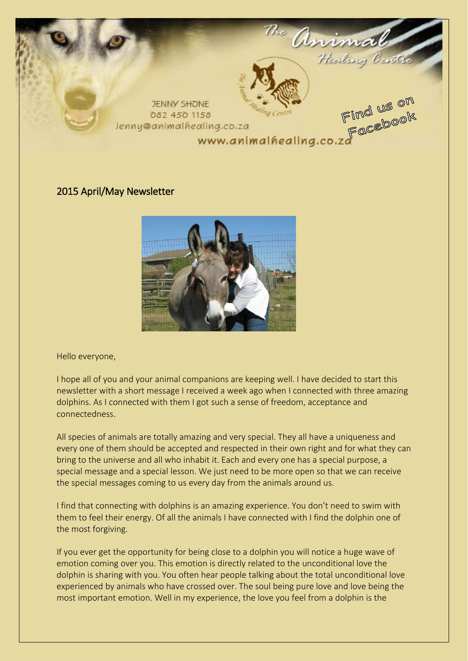

# 2015 April/May Newsletter



Hello everyone,

I hope all of you and your animal companions are keeping well. I have decided to start this newsletter with a short message I received a week ago when I connected with three amazing dolphins. As I connected with them I got such a sense of freedom, acceptance and connectedness.

All species of animals are totally amazing and very special. They all have a uniqueness and every one of them should be accepted and respected in their own right and for what they can bring to the universe and all who inhabit it. Each and every one has a special purpose, a special message and a special lesson. We just need to be more open so that we can receive the special messages coming to us every day from the animals around us.

I find that connecting with dolphins is an amazing experience. You don't need to swim with them to feel their energy. Of all the animals I have connected with I find the dolphin one of the most forgiving.

If you ever get the opportunity for being close to a dolphin you will notice a huge wave of emotion coming over you. This emotion is directly related to the unconditional love the dolphin is sharing with you. You often hear people talking about the total unconditional love experienced by animals who have crossed over. The soul being pure love and love being the most important emotion. Well in my experience, the love you feel from a dolphin is the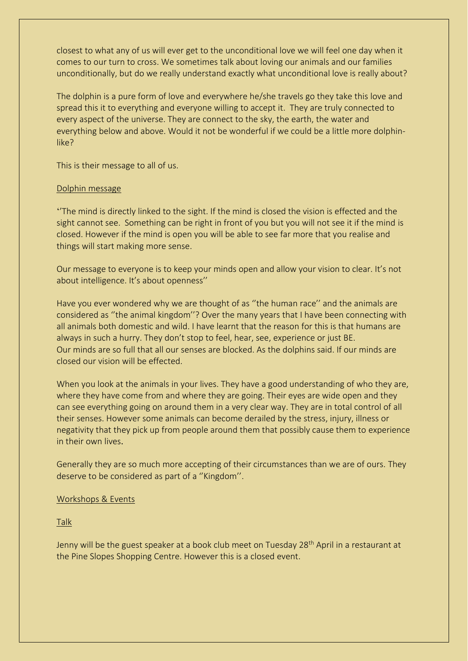closest to what any of us will ever get to the unconditional love we will feel one day when it comes to our turn to cross. We sometimes talk about loving our animals and our families unconditionally, but do we really understand exactly what unconditional love is really about?

The dolphin is a pure form of love and everywhere he/she travels go they take this love and spread this it to everything and everyone willing to accept it. They are truly connected to every aspect of the universe. They are connect to the sky, the earth, the water and everything below and above. Would it not be wonderful if we could be a little more dolphinlike?

This is their message to all of us.

#### Dolphin message

''The mind is directly linked to the sight. If the mind is closed the vision is effected and the sight cannot see. Something can be right in front of you but you will not see it if the mind is closed. However if the mind is open you will be able to see far more that you realise and things will start making more sense.

Our message to everyone is to keep your minds open and allow your vision to clear. It's not about intelligence. It's about openness''

Have you ever wondered why we are thought of as ''the human race'' and the animals are considered as ''the animal kingdom''? Over the many years that I have been connecting with all animals both domestic and wild. I have learnt that the reason for this is that humans are always in such a hurry. They don't stop to feel, hear, see, experience or just BE. Our minds are so full that all our senses are blocked. As the dolphins said. If our minds are closed our vision will be effected.

When you look at the animals in your lives. They have a good understanding of who they are, where they have come from and where they are going. Their eyes are wide open and they can see everything going on around them in a very clear way. They are in total control of all their senses. However some animals can become derailed by the stress, injury, illness or negativity that they pick up from people around them that possibly cause them to experience in their own lives.

Generally they are so much more accepting of their circumstances than we are of ours. They deserve to be considered as part of a ''Kingdom''.

### Workshops & Events

Talk

Jenny will be the guest speaker at a book club meet on Tuesday 28<sup>th</sup> April in a restaurant at the Pine Slopes Shopping Centre. However this is a closed event.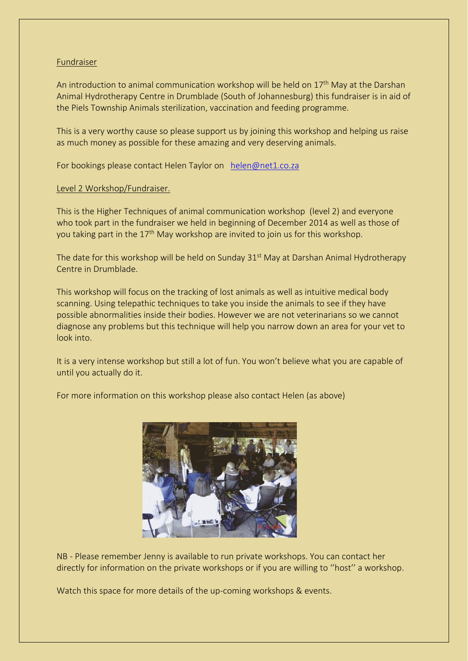#### Fundraiser

An introduction to animal communication workshop will be held on  $17<sup>th</sup>$  May at the Darshan Animal Hydrotherapy Centre in Drumblade (South of Johannesburg) this fundraiser is in aid of the Piels Township Animals sterilization, vaccination and feeding programme.

This is a very worthy cause so please support us by joining this workshop and helping us raise as much money as possible for these amazing and very deserving animals.

For bookings please contact Helen Taylor on [helen@net1.co.za](mailto:helen@net1.co.za)

# Level 2 Workshop/Fundraiser.

This is the Higher Techniques of animal communication workshop (level 2) and everyone who took part in the fundraiser we held in beginning of December 2014 as well as those of you taking part in the 17<sup>th</sup> May workshop are invited to join us for this workshop.

The date for this workshop will be held on Sunday 31<sup>st</sup> May at Darshan Animal Hydrotherapy Centre in Drumblade.

This workshop will focus on the tracking of lost animals as well as intuitive medical body scanning. Using telepathic techniques to take you inside the animals to see if they have possible abnormalities inside their bodies. However we are not veterinarians so we cannot diagnose any problems but this technique will help you narrow down an area for your vet to look into.

It is a very intense workshop but still a lot of fun. You won't believe what you are capable of until you actually do it.

For more information on this workshop please also contact Helen (as above)



NB - Please remember Jenny is available to run private workshops. You can contact her directly for information on the private workshops or if you are willing to ''host'' a workshop.

Watch this space for more details of the up-coming workshops & events.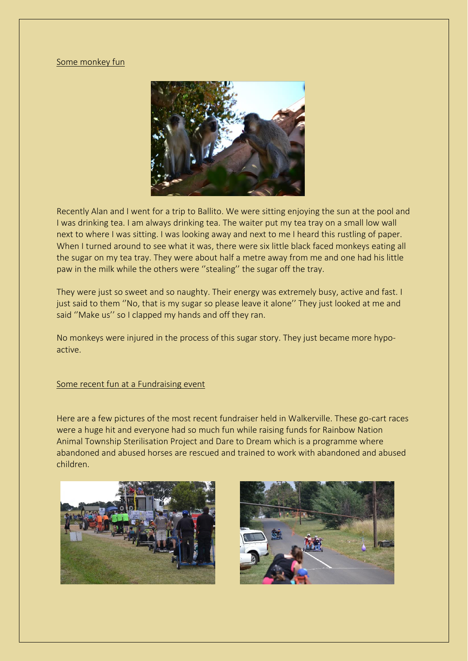## Some monkey fun



Recently Alan and I went for a trip to Ballito. We were sitting enjoying the sun at the pool and I was drinking tea. I am always drinking tea. The waiter put my tea tray on a small low wall next to where I was sitting. I was looking away and next to me I heard this rustling of paper. When I turned around to see what it was, there were six little black faced monkeys eating all the sugar on my tea tray. They were about half a metre away from me and one had his little paw in the milk while the others were ''stealing'' the sugar off the tray.

They were just so sweet and so naughty. Their energy was extremely busy, active and fast. I just said to them "No, that is my sugar so please leave it alone" They just looked at me and said ''Make us'' so I clapped my hands and off they ran.

No monkeys were injured in the process of this sugar story. They just became more hypoactive.

#### Some recent fun at a Fundraising event

Here are a few pictures of the most recent fundraiser held in Walkerville. These go-cart races were a huge hit and everyone had so much fun while raising funds for Rainbow Nation Animal Township Sterilisation Project and Dare to Dream which is a programme where abandoned and abused horses are rescued and trained to work with abandoned and abused children.



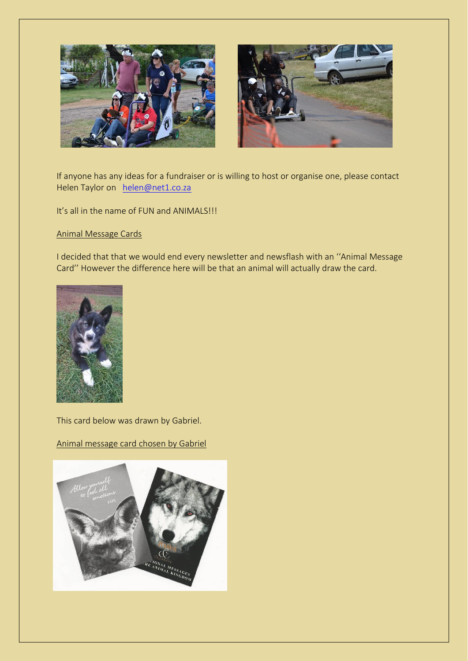



If anyone has any ideas for a fundraiser or is willing to host or organise one, please contact Helen Taylor on [helen@net1.co.za](mailto:helen@net1.co.za)

It's all in the name of FUN and ANIMALS!!!

## Animal Message Cards

I decided that that we would end every newsletter and newsflash with an ''Animal Message Card'' However the difference here will be that an animal will actually draw the card.



This card below was drawn by Gabriel.

# Animal message card chosen by Gabriel